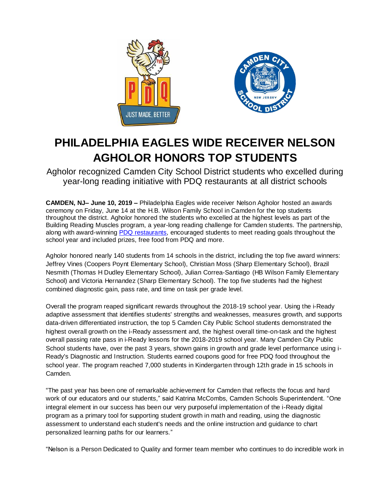



## **PHILADELPHIA EAGLES WIDE RECEIVER NELSON AGHOLOR HONORS TOP STUDENTS**

Agholor recognized Camden City School District students who excelled during year-long reading initiative with PDQ restaurants at all district schools

**CAMDEN, NJ– June 10, 2019 –** Philadelphia Eagles wide receiver Nelson Agholor hosted an awards ceremony on Friday, June 14 at the H.B. Wilson Family School in Camden for the top students throughout the district. Agholor honored the students who excelled at the highest levels as part of the Building Reading Muscles program, a year-long reading challenge for Camden students. The partnership, along with award-winning [PDQ restaurants,](http://www.eatpdq.com/) encouraged students to meet reading goals throughout the school year and included prizes, free food from PDQ and more.

Agholor honored nearly 140 students from 14 schools in the district, including the top five award winners: Jeffrey Vines (Coopers Poynt Elementary School), Christian Moss (Sharp Elementary School), Brazil Nesmith (Thomas H Dudley Elementary School), Julian Correa-Santiago (HB Wilson Family Elementary School) and Victoria Hernandez (Sharp Elementary School). The top five students had the highest combined diagnostic gain, pass rate, and time on task per grade level.

Overall the program reaped significant rewards throughout the 2018-19 school year. Using the i-Ready adaptive assessment that identifies students' strengths and weaknesses, measures growth, and supports data-driven differentiated instruction, the top 5 Camden City Public School students demonstrated the highest overall growth on the i-Ready assessment and, the highest overall time-on-task and the highest overall passing rate pass in i-Ready lessons for the 2018-2019 school year. Many Camden City Public School students have, over the past 3 years, shown gains in growth and grade level performance using i-Ready's Diagnostic and Instruction. Students earned coupons good for free PDQ food throughout the school year. The program reached 7,000 students in Kindergarten through 12th grade in 15 schools in Camden.

"The past year has been one of remarkable achievement for Camden that reflects the focus and hard work of our educators and our students," said Katrina McCombs, Camden Schools Superintendent. "One integral element in our success has been our very purposeful implementation of the i-Ready digital program as a primary tool for supporting student growth in math and reading, using the diagnostic assessment to understand each student's needs and the online instruction and guidance to chart personalized learning paths for our learners."

"Nelson is a Person Dedicated to Quality and former team member who continues to do incredible work in